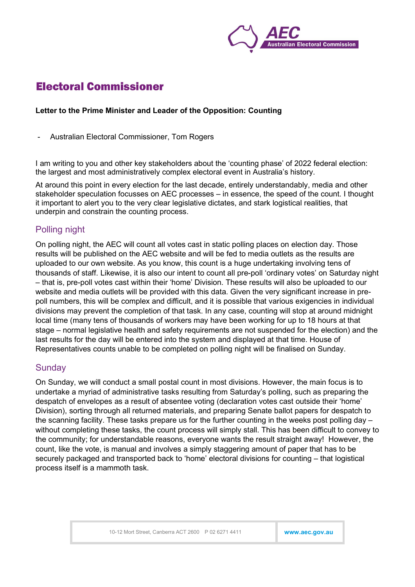

# **Electoral Commissioner**

#### Letter to the Prime Minister and Leader of the Opposition: Counting

- Australian Electoral Commissioner, Tom Rogers

I am writing to you and other key stakeholders about the 'counting phase' of 2022 federal election: the largest and most administratively complex electoral event in Australia's history.

At around this point in every election for the last decade, entirely understandably, media and other stakeholder speculation focusses on AEC processes – in essence, the speed of the count. I thought it important to alert you to the very clear legislative dictates, and stark logistical realities, that underpin and constrain the counting process.

## Polling night

On polling night, the AEC will count all votes cast in static polling places on election day. Those results will be published on the AEC website and will be fed to media outlets as the results are uploaded to our own website. As you know, this count is a huge undertaking involving tens of thousands of staff. Likewise, it is also our intent to count all pre-poll 'ordinary votes' on Saturday night – that is, pre-poll votes cast within their 'home' Division. These results will also be uploaded to our website and media outlets will be provided with this data. Given the very significant increase in prepoll numbers, this will be complex and difficult, and it is possible that various exigencies in individual divisions may prevent the completion of that task. In any case, counting will stop at around midnight local time (many tens of thousands of workers may have been working for up to 18 hours at that stage – normal legislative health and safety requirements are not suspended for the election) and the last results for the day will be entered into the system and displayed at that time. House of Representatives counts unable to be completed on polling night will be finalised on Sunday.

### **Sundav**

On Sunday, we will conduct a small postal count in most divisions. However, the main focus is to undertake a myriad of administrative tasks resulting from Saturday's polling, such as preparing the despatch of envelopes as a result of absentee voting (declaration votes cast outside their 'home' Division), sorting through all returned materials, and preparing Senate ballot papers for despatch to the scanning facility. These tasks prepare us for the further counting in the weeks post polling day – without completing these tasks, the count process will simply stall. This has been difficult to convey to the community; for understandable reasons, everyone wants the result straight away! However, the count, like the vote, is manual and involves a simply staggering amount of paper that has to be securely packaged and transported back to 'home' electoral divisions for counting – that logistical process itself is a mammoth task.